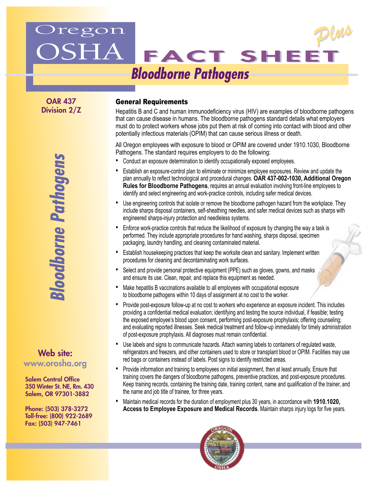

OAR 437 Division 2/Z

# Web site:

[www.orosha.org](http://www.orosha.org)

 350 Winter St. NE, Rm. 430 Salem Central Office Salem, OR 97301-3882

Phone: (503) 378-3272 Toll-free: (800) 922-2689 Fax: (503) 947-7461

### General Requirements

Hepatitis B and C and human immunodeficiency virus (HIV) are examples of bloodborne pathogens that can cause disease in humans. The bloodborne pathogens standard details what employers must do to protect workers whose jobs put them at risk of coming into contact with blood and other potentially infectious materials (OPIM) that can cause serious illness or death.

All Oregon employees with exposure to blood or OPIM are covered under 1910.1030, Bloodborne Pathogens. The standard requires employers to do the following:

- Conduct an exposure determination to identify occupationally exposed employees.
- Establish an exposure-control plan to eliminate or minimize employee exposures. Review and update the plan annually to reflect technological and procedural changes. **OAR 437-002-1030, Additional Oregon Rules for Bloodborne Pathogens**, requires an annual evaluation involving front-line employees to identify and select engineering and work-practice controls, including safer medical devices.
- Use engineering controls that isolate or remove the bloodborne pathogen hazard from the workplace. They include sharps disposal containers, self-sheathing needles, and safer medical devices such as sharps with engineered sharps-injury protection and needleless systems.
- Enforce work-practice controls that reduce the likelihood of exposure by changing the way a task is performed. They include appropriate procedures for hand washing, sharps disposal, specimen packaging, laundry handling, and cleaning contaminated material.
- Establish housekeeping practices that keep the worksite clean and sanitary. Implement written procedures for cleaning and decontaminating work surfaces.
- Select and provide personal protective equipment (PPE) such as gloves, gowns, and masks and ensure its use. Clean, repair, and replace this equipment as needed.
- Make hepatitis B vaccinations available to all employees with occupational exposure to bloodborne pathogens within 10 days of assignment at no cost to the worker.
- Provide post-exposure follow-up at no cost to workers who experience an exposure incident. This includes providing a confidential medical evaluation; identifying and testing the source individual, if feasible; testing the exposed employee's blood upon consent, performing post-exposure prophylaxis; offering counseling; and evaluating reported illnesses. Seek medical treatment and follow-up immediately for timely administration of post-exposure prophylaxis. All diagnoses must remain confidential.
- Use labels and signs to communicate hazards. Attach warning labels to containers of regulated waste, refrigerators and freezers, and other containers used to store or transplant blood or OPIM. Facilities may use red bags or containers instead of labels. Post signs to identify restricted areas.
- Provide information and training to employees on initial assignment, then at least annually. Ensure that training covers the dangers of bloodborne pathogens, preventive practices, and post-exposure procedures. Keep training records, containing the training date, training content, name and qualification of the trainer, and the name and job title of trainee, for three years.
- Maintain medical records for the duration of employment plus 30 years, in accordance with **1910.1020, Access to Employee Exposure and Medical Records**. Maintain sharps injury logs for five years.